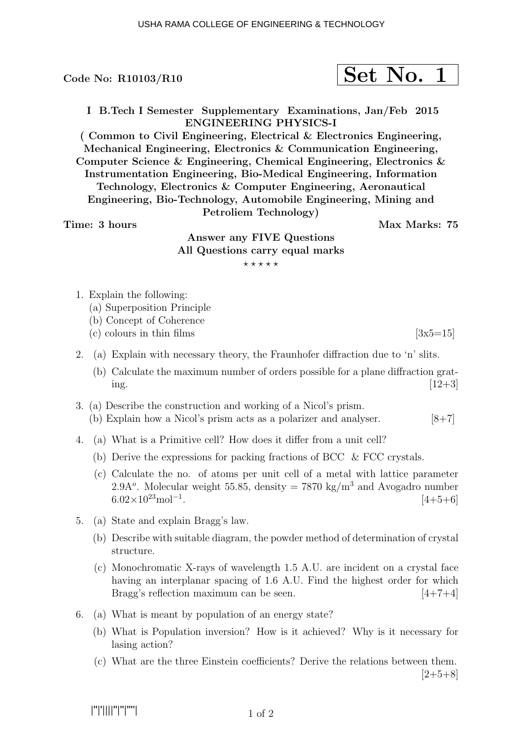I B.Tech I Semester Supplementary Examinations, Jan/Feb 2015 ENGINEERING PHYSICS-I

( Common to Civil Engineering, Electrical & Electronics Engineering, Mechanical Engineering, Electronics & Communication Engineering, Computer Science & Engineering, Chemical Engineering, Electronics & Instrumentation Engineering, Bio-Medical Engineering, Information Technology, Electronics & Computer Engineering, Aeronautical Engineering, Bio-Technology, Automobile Engineering, Mining and Petroliem Technology)

Time: 3 hours and the set of the Max Marks: 75

## Answer any FIVE Questions All Questions carry equal marks  $***$ \*\*

- 1. Explain the following:
	- (a) Superposition Principle
	- (b) Concept of Coherence
	- (c) colours in thin films  $[3x5=15]$
- 2. (a) Explain with necessary theory, the Fraunhofer diffraction due to 'n' slits.
	- (b) Calculate the maximum number of orders possible for a plane diffraction grating.  $[12+3]$
- 3. (a) Describe the construction and working of a Nicol's prism. (b) Explain how a Nicol's prism acts as a polarizer and analyser.  $[8+7]$
- 4. (a) What is a Primitive cell? How does it differ from a unit cell?
	- (b) Derive the expressions for packing fractions of BCC & FCC crystals.
	- (c) Calculate the no. of atoms per unit cell of a metal with lattice parameter 2.9A<sup>o</sup>. Molecular weight 55.85, density = 7870 kg/m<sup>3</sup> and Avogadro number  $6.02\times10^{23}$ mol<sup>-1</sup>.  $[4+5+6]$
- 5. (a) State and explain Bragg's law.
	- (b) Describe with suitable diagram, the powder method of determination of crystal structure.
	- (c) Monochromatic X-rays of wavelength 1.5 A.U. are incident on a crystal face having an interplanar spacing of 1.6 A.U. Find the highest order for which Bragg's reflection maximum can be seen. [4+7+4]
- 6. (a) What is meant by population of an energy state?
	- (b) What is Population inversion? How is it achieved? Why is it necessary for lasing action?
	- (c) What are the three Einstein coefficients? Derive the relations between them.  $[2+5+8]$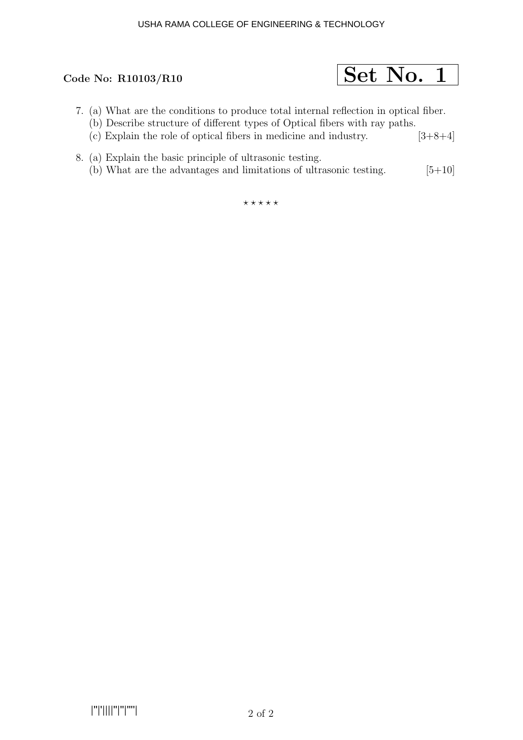

- 7. (a) What are the conditions to produce total internal reflection in optical fiber.
	- (b) Describe structure of different types of Optical fibers with ray paths.
	- (c) Explain the role of optical fibers in medicine and industry.  $[3+8+4]$
- 8. (a) Explain the basic principle of ultrasonic testing. (b) What are the advantages and limitations of ultrasonic testing.  $[5+10]$

 $***$ \*\*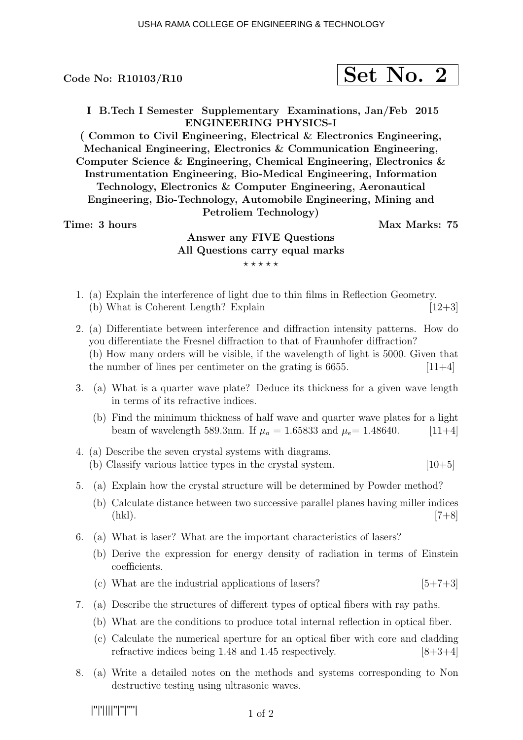$$
\fbox{Set No. 2}
$$

I B.Tech I Semester Supplementary Examinations, Jan/Feb 2015 ENGINEERING PHYSICS-I

( Common to Civil Engineering, Electrical & Electronics Engineering, Mechanical Engineering, Electronics & Communication Engineering, Computer Science & Engineering, Chemical Engineering, Electronics & Instrumentation Engineering, Bio-Medical Engineering, Information Technology, Electronics & Computer Engineering, Aeronautical Engineering, Bio-Technology, Automobile Engineering, Mining and Petroliem Technology)

### Time: 3 hours Max Marks: 75

# Answer any FIVE Questions All Questions carry equal marks  $***$ \*\*

- 1. (a) Explain the interference of light due to thin films in Reflection Geometry. (b) What is Coherent Length? Explain  $[12+3]$
- 2. (a) Differentiate between interference and diffraction intensity patterns. How do you differentiate the Fresnel diffraction to that of Fraunhofer diffraction? (b) How many orders will be visible, if the wavelength of light is 5000. Given that the number of lines per centimeter on the grating is  $6655$ . [11+4]
- 3. (a) What is a quarter wave plate? Deduce its thickness for a given wave length in terms of its refractive indices.
	- (b) Find the minimum thickness of half wave and quarter wave plates for a light beam of wavelength 589.3nm. If  $\mu_o = 1.65833$  and  $\mu_e = 1.48640$ . [11+4]
- 4. (a) Describe the seven crystal systems with diagrams. (b) Classify various lattice types in the crystal system.  $[10+5]$
- 5. (a) Explain how the crystal structure will be determined by Powder method?
	- (b) Calculate distance between two successive parallel planes having miller indices (hkl).  $[7+8]$
- 6. (a) What is laser? What are the important characteristics of lasers?
	- (b) Derive the expression for energy density of radiation in terms of Einstein coefficients.
	- (c) What are the industrial applications of lasers?  $[5+7+3]$
- 7. (a) Describe the structures of different types of optical fibers with ray paths.
	- (b) What are the conditions to produce total internal reflection in optical fiber.
	- (c) Calculate the numerical aperture for an optical fiber with core and cladding refractive indices being 1.48 and 1.45 respectively.  $[8+3+4]$
- 8. (a) Write a detailed notes on the methods and systems corresponding to Non destructive testing using ultrasonic waves.

|''|'||||''|''|''''|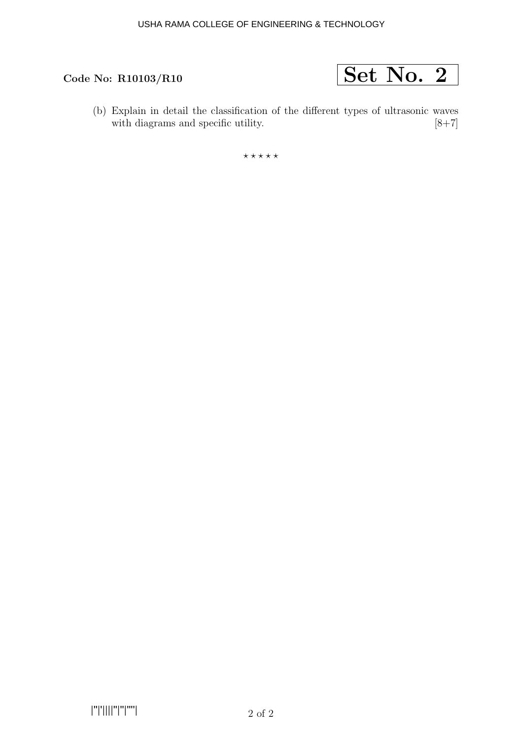

(b) Explain in detail the classification of the different types of ultrasonic waves with diagrams and specific utility.  $[8\!+\!7]$ with diagrams and specific utility.

 $***$ \*\*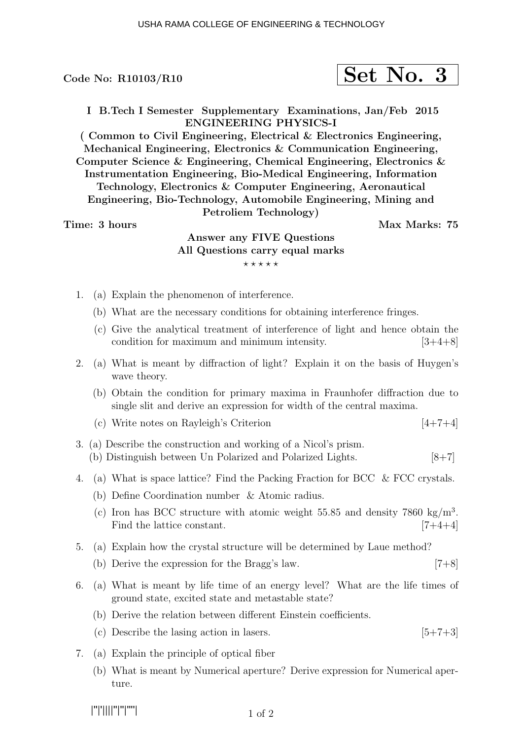I B.Tech I Semester Supplementary Examinations, Jan/Feb 2015 ENGINEERING PHYSICS-I

( Common to Civil Engineering, Electrical & Electronics Engineering, Mechanical Engineering, Electronics & Communication Engineering, Computer Science & Engineering, Chemical Engineering, Electronics & Instrumentation Engineering, Bio-Medical Engineering, Information Technology, Electronics & Computer Engineering, Aeronautical Engineering, Bio-Technology, Automobile Engineering, Mining and Petroliem Technology)

Time: 3 hours and the set of the Max Marks: 75

# Answer any FIVE Questions All Questions carry equal marks  $***$ \*\*

- 1. (a) Explain the phenomenon of interference.
	- (b) What are the necessary conditions for obtaining interference fringes.
	- (c) Give the analytical treatment of interference of light and hence obtain the condition for maximum and minimum intensity.  $[3+4+8]$
- 2. (a) What is meant by diffraction of light? Explain it on the basis of Huygen's wave theory.
	- (b) Obtain the condition for primary maxima in Fraunhofer diffraction due to single slit and derive an expression for width of the central maxima.
	- (c) Write notes on Rayleigh's Criterion  $[4+7+4]$
- 3. (a) Describe the construction and working of a Nicol's prism. (b) Distinguish between Un Polarized and Polarized Lights. [8+7]
- 4. (a) What is space lattice? Find the Packing Fraction for BCC & FCC crystals.
	- (b) Define Coordination number & Atomic radius.
	- (c) Iron has BCC structure with atomic weight 55.85 and density  $7860 \text{ kg/m}^3$ . Find the lattice constant. [7+4+4]
- 5. (a) Explain how the crystal structure will be determined by Laue method?
	- (b) Derive the expression for the Bragg's law. [7+8]
- 6. (a) What is meant by life time of an energy level? What are the life times of ground state, excited state and metastable state?
	- (b) Derive the relation between different Einstein coefficients.
	- (c) Describe the lasing action in lasers.  $[5+7+3]$
- 7. (a) Explain the principle of optical fiber
	- (b) What is meant by Numerical aperture? Derive expression for Numerical aperture.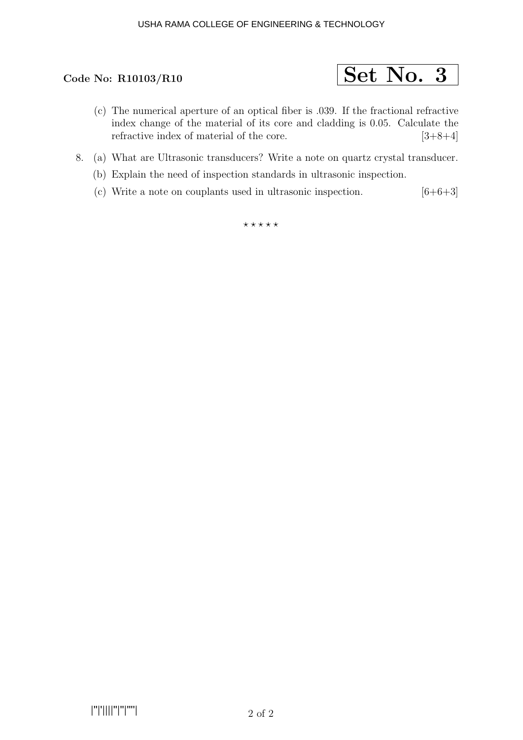### USHA RAMA COLLEGE OF ENGINEERING & TECHNOLOGY



- (c) The numerical aperture of an optical fiber is .039. If the fractional refractive index change of the material of its core and cladding is 0.05. Calculate the refractive index of material of the core.  $[3+8+4]$
- 8. (a) What are Ultrasonic transducers? Write a note on quartz crystal transducer.
	- (b) Explain the need of inspection standards in ultrasonic inspection.
	- (c) Write a note on couplants used in ultrasonic inspection.  $[6+6+3]$

 $\star\star\star\star\star$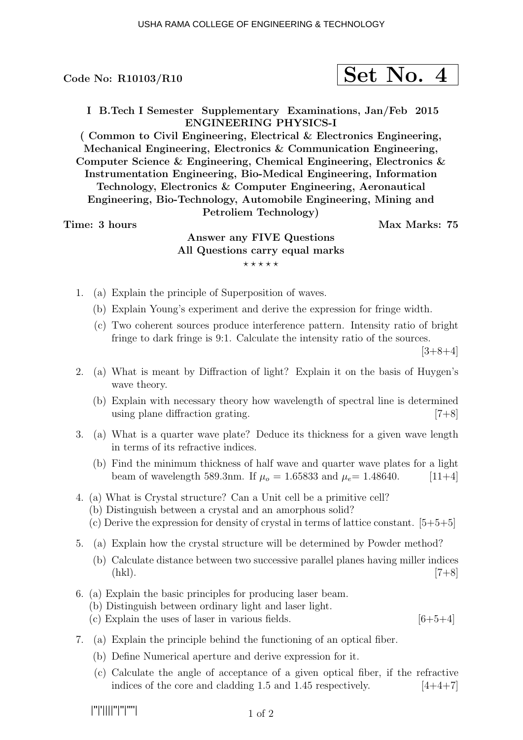$$
\fbox{Set No. 4}
$$

I B.Tech I Semester Supplementary Examinations, Jan/Feb 2015 ENGINEERING PHYSICS-I

( Common to Civil Engineering, Electrical & Electronics Engineering, Mechanical Engineering, Electronics & Communication Engineering, Computer Science & Engineering, Chemical Engineering, Electronics & Instrumentation Engineering, Bio-Medical Engineering, Information Technology, Electronics & Computer Engineering, Aeronautical Engineering, Bio-Technology, Automobile Engineering, Mining and Petroliem Technology)

### Time: 3 hours Max Marks: 75

# Answer any FIVE Questions All Questions carry equal marks  $***$ \*\*

- 1. (a) Explain the principle of Superposition of waves.
	- (b) Explain Young's experiment and derive the expression for fringe width.
	- (c) Two coherent sources produce interference pattern. Intensity ratio of bright fringe to dark fringe is 9:1. Calculate the intensity ratio of the sources.

 $[3+8+4]$ 

- 2. (a) What is meant by Diffraction of light? Explain it on the basis of Huygen's wave theory.
	- (b) Explain with necessary theory how wavelength of spectral line is determined using plane diffraction grating. [7+8]
- 3. (a) What is a quarter wave plate? Deduce its thickness for a given wave length in terms of its refractive indices.
	- (b) Find the minimum thickness of half wave and quarter wave plates for a light beam of wavelength 589.3nm. If  $\mu_o = 1.65833$  and  $\mu_e = 1.48640$ . [11+4]
- 4. (a) What is Crystal structure? Can a Unit cell be a primitive cell?
	- (b) Distinguish between a crystal and an amorphous solid?
	- (c) Derive the expression for density of crystal in terms of lattice constant.  $[5+5+5]$
- 5. (a) Explain how the crystal structure will be determined by Powder method?
	- (b) Calculate distance between two successive parallel planes having miller indices (hkl).  $[7+8]$
- 6. (a) Explain the basic principles for producing laser beam.
	- (b) Distinguish between ordinary light and laser light.
	- (c) Explain the uses of laser in various fields.  $[6+5+4]$
- 7. (a) Explain the principle behind the functioning of an optical fiber.
	- (b) Define Numerical aperture and derive expression for it.
	- (c) Calculate the angle of acceptance of a given optical fiber, if the refractive indices of the core and cladding 1.5 and 1.45 respectively.  $[4+4+7]$

|''|'||||''|''|''''|